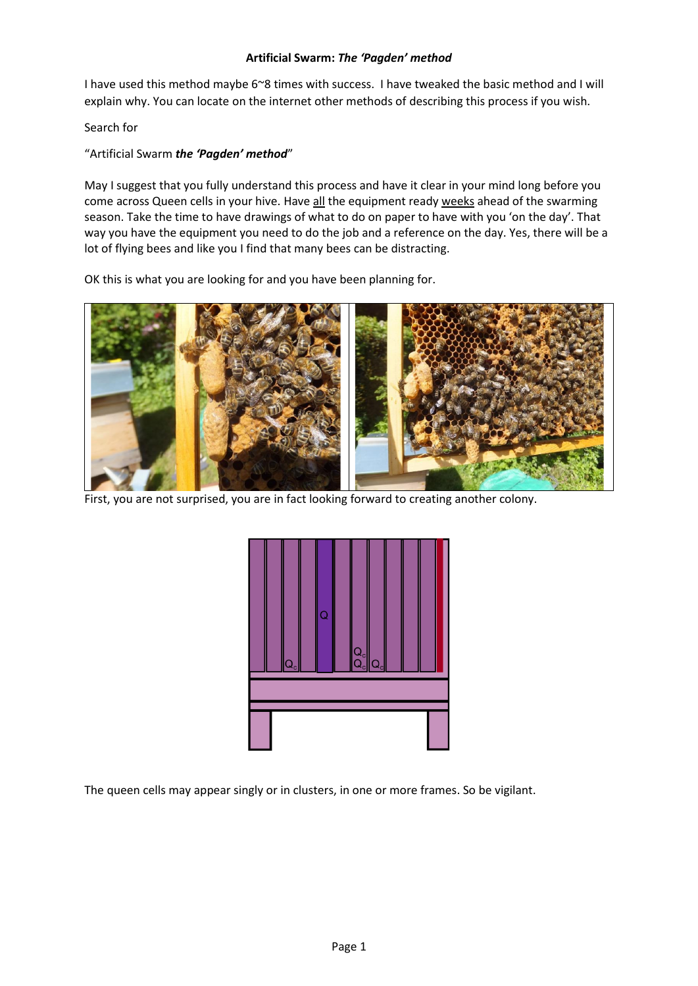## **Artificial Swarm:** *The 'Pagden' method*

I have used this method maybe 6~8 times with success. I have tweaked the basic method and I will explain why. You can locate on the internet other methods of describing this process if you wish.

Search for

## "Artificial Swarm *the 'Pagden' method*"

May I suggest that you fully understand this process and have it clear in your mind long before you come across Queen cells in your hive. Have all the equipment ready weeks ahead of the swarming season. Take the time to have drawings of what to do on paper to have with you 'on the day'. That way you have the equipment you need to do the job and a reference on the day. Yes, there will be a lot of flying bees and like you I find that many bees can be distracting.

OK this is what you are looking for and you have been planning for.



First, you are not surprised, you are in fact looking forward to creating another colony.



The queen cells may appear singly or in clusters, in one or more frames. So be vigilant.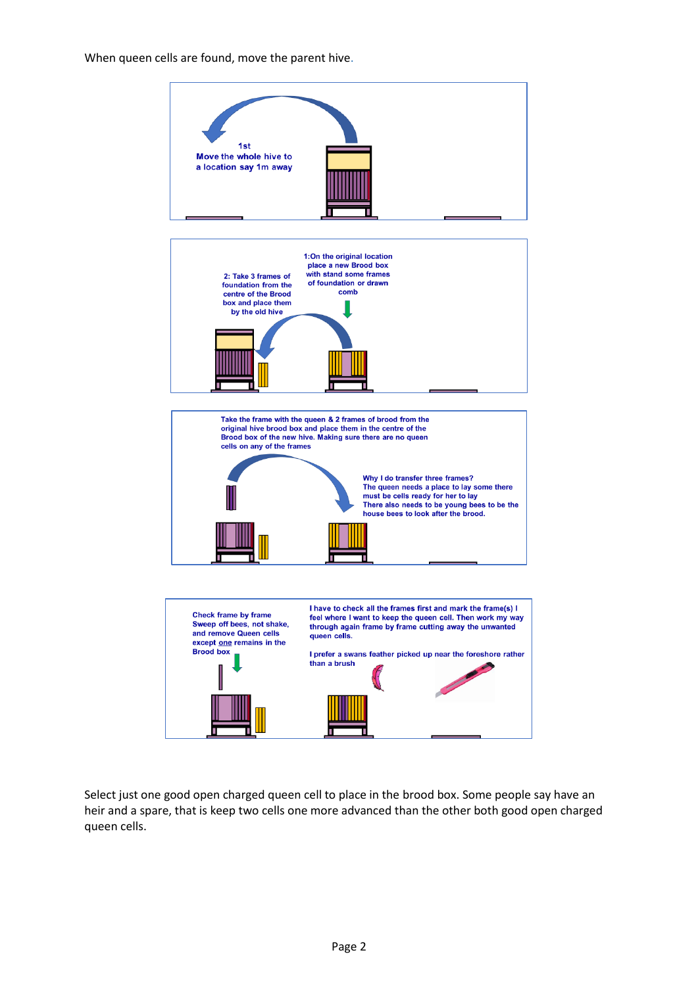## When queen cells are found, move the parent hive.



Select just one good open charged queen cell to place in the brood box. Some people say have an heir and a spare, that is keep two cells one more advanced than the other both good open charged queen cells.